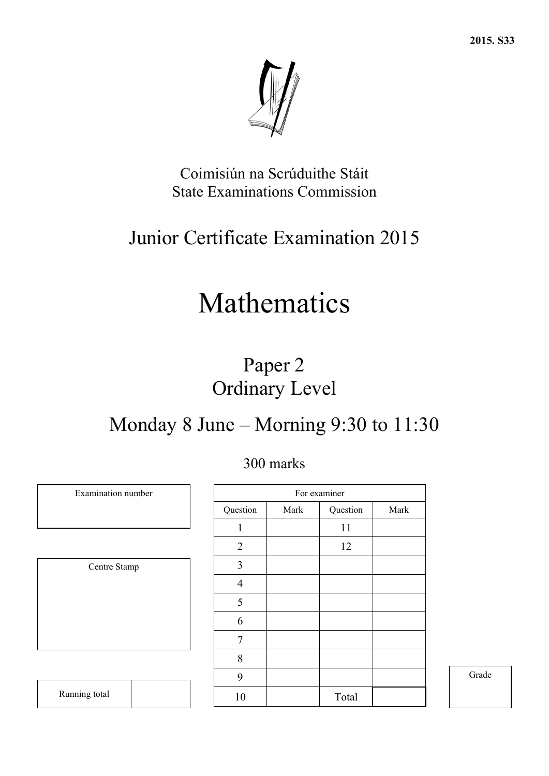

Coimisiún na Scrúduithe Stáit State Examinations Commission

# Junior Certificate Examination 2015

# Mathematics

# Paper 2 Ordinary Level

# Monday 8 June – Morning 9:30 to 11:30

|                |      | For examiner |      |
|----------------|------|--------------|------|
| Question       | Mark | Question     | Mark |
| 1              |      | 11           |      |
| $\overline{2}$ |      | 12           |      |
| 3              |      |              |      |
| $\overline{4}$ |      |              |      |
| 5              |      |              |      |
| 6              |      |              |      |
| 7              |      |              |      |
| 8              |      |              |      |
| 9              |      |              |      |
| 10             |      | Total        |      |

Grade

| Centre Stamp |
|--------------|
|              |
|              |
|              |
|              |
|              |

Examination number

Running total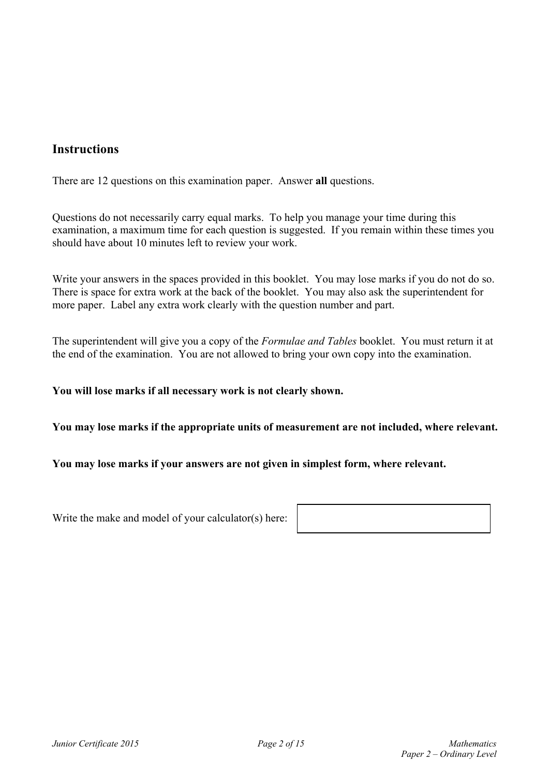### **Instructions**

There are 12 questions on this examination paper. Answer **all** questions.

Questions do not necessarily carry equal marks. To help you manage your time during this examination, a maximum time for each question is suggested. If you remain within these times you should have about 10 minutes left to review your work.

Write your answers in the spaces provided in this booklet. You may lose marks if you do not do so. There is space for extra work at the back of the booklet. You may also ask the superintendent for more paper. Label any extra work clearly with the question number and part.

The superintendent will give you a copy of the *Formulae and Tables* booklet. You must return it at the end of the examination. You are not allowed to bring your own copy into the examination.

#### **You will lose marks if all necessary work is not clearly shown.**

**You may lose marks if the appropriate units of measurement are not included, where relevant.** 

#### **You may lose marks if your answers are not given in simplest form, where relevant.**

Write the make and model of your calculator(s) here: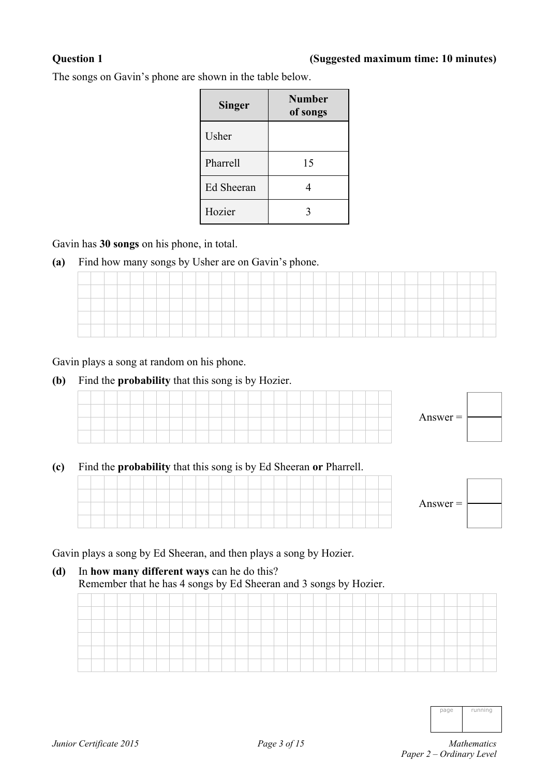#### **Question 1 (Suggested maximum time: 10 minutes)**

The songs on Gavin's phone are shown in the table below.

| <b>Singer</b> | <b>Number</b><br>of songs |
|---------------|---------------------------|
| Usher         |                           |
| Pharrell      | 15                        |
| Ed Sheeran    | 4                         |
| Hozier        | 3                         |

Gavin has **30 songs** on his phone, in total.

**(a)** Find how many songs by Usher are on Gavin's phone.

Gavin plays a song at random on his phone.

**(b)** Find the **probability** that this song is by Hozier.

|  |  |  |  |  |  |  |  |  |  |  |  | Answer $=$ $\vdash$ |  |
|--|--|--|--|--|--|--|--|--|--|--|--|---------------------|--|
|  |  |  |  |  |  |  |  |  |  |  |  |                     |  |

#### **(c)** Find the **probability** that this song is by Ed Sheeran **or** Pharrell.



Gavin plays a song by Ed Sheeran, and then plays a song by Hozier.

### **(d)** In **how many different ways** can he do this? Remember that he has 4 songs by Ed Sheeran and 3 songs by Hozier.

| ____ |  |  |  |  |  |  |  |  |  |  |  |  |  |  |  |  |
|------|--|--|--|--|--|--|--|--|--|--|--|--|--|--|--|--|
| ____ |  |  |  |  |  |  |  |  |  |  |  |  |  |  |  |  |
|      |  |  |  |  |  |  |  |  |  |  |  |  |  |  |  |  |
|      |  |  |  |  |  |  |  |  |  |  |  |  |  |  |  |  |
|      |  |  |  |  |  |  |  |  |  |  |  |  |  |  |  |  |

| ınır<br>ur<br>ı |
|-----------------|
|                 |

*Paper 2 – Ordinary Level*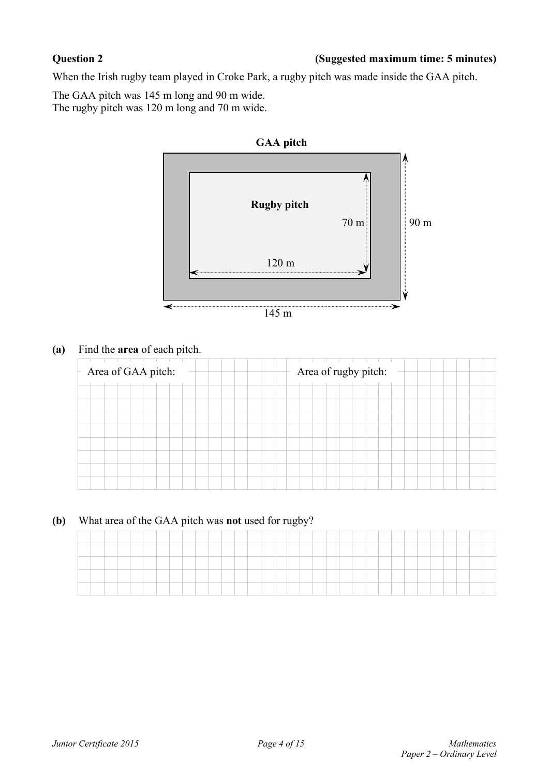### **Question 2 (Suggested maximum time: 5 minutes)**

When the Irish rugby team played in Croke Park, a rugby pitch was made inside the GAA pitch.

The GAA pitch was 145 m long and 90 m wide. The rugby pitch was 120 m long and 70 m wide.



**(a)** Find the **area** of each pitch.

| Area of GAA pitch: |  |  |  |  |  |  |  | Area of rugby pitch: |  |  |  |  |  |  |  |
|--------------------|--|--|--|--|--|--|--|----------------------|--|--|--|--|--|--|--|
|                    |  |  |  |  |  |  |  |                      |  |  |  |  |  |  |  |
|                    |  |  |  |  |  |  |  |                      |  |  |  |  |  |  |  |
|                    |  |  |  |  |  |  |  |                      |  |  |  |  |  |  |  |
|                    |  |  |  |  |  |  |  |                      |  |  |  |  |  |  |  |
|                    |  |  |  |  |  |  |  |                      |  |  |  |  |  |  |  |

**(b)** What area of the GAA pitch was **not** used for rugby?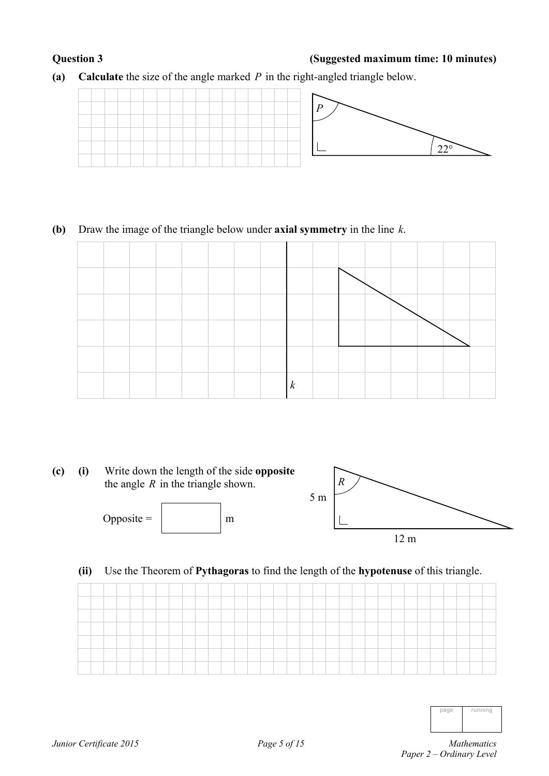### **Question 3 (Suggested maximum time: 10 minutes)**

**(a) Calculate** the size of the angle marked *P* in the right-angled triangle below.



### **(b)** Draw the image of the triangle below under **axial symmetry** in the line *k*.





### **(ii)** Use the Theorem of **Pythagoras** to find the length of the **hypotenuse** of this triangle.

| ______       |  |  | _____ |  |  |  |  |  |  |  |  |  |  |  |  |  |
|--------------|--|--|-------|--|--|--|--|--|--|--|--|--|--|--|--|--|
| ____<br>____ |  |  |       |  |  |  |  |  |  |  |  |  |  |  |  |  |
|              |  |  |       |  |  |  |  |  |  |  |  |  |  |  |  |  |
|              |  |  |       |  |  |  |  |  |  |  |  |  |  |  |  |  |
|              |  |  |       |  |  |  |  |  |  |  |  |  |  |  |  |  |
|              |  |  |       |  |  |  |  |  |  |  |  |  |  |  |  |  |

*Paper 2 – Ordinary Level*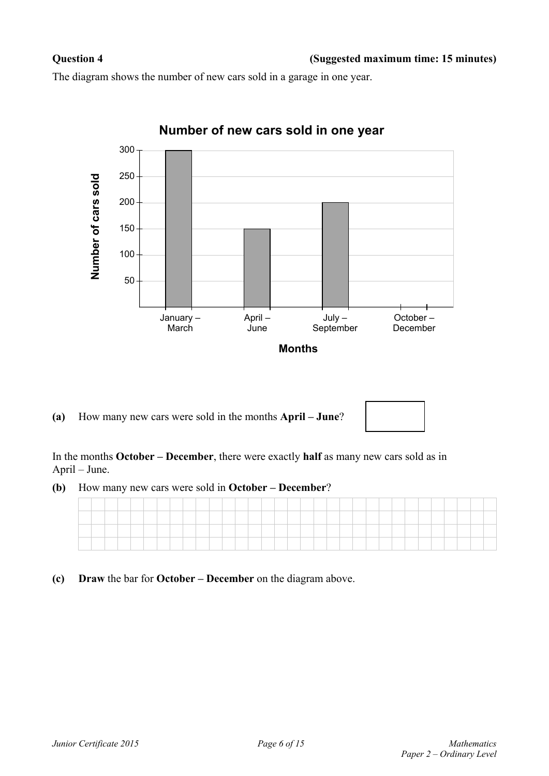The diagram shows the number of new cars sold in a garage in one year.



**(a)** How many new cars were sold in the months **April – June**?

In the months **October – December**, there were exactly **half** as many new cars sold as in April – June.

**(b)** How many new cars were sold in **October – December**?

**(c) Draw** the bar for **October – December** on the diagram above.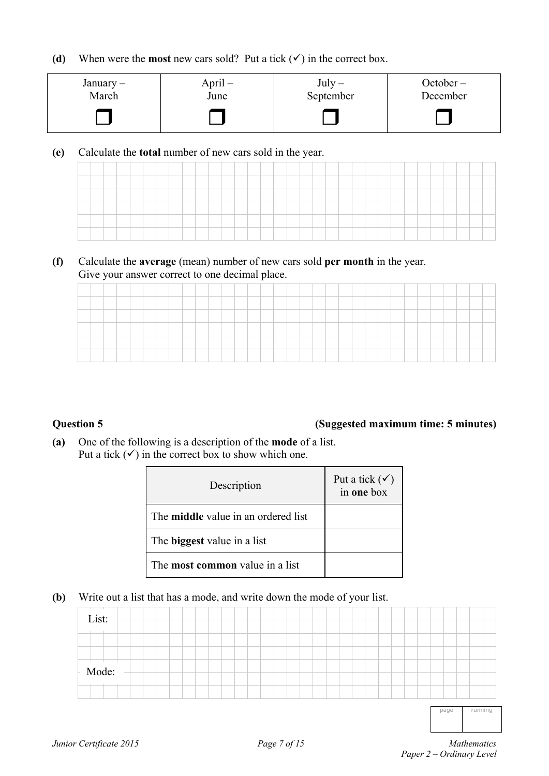**(d)** When were the **most** new cars sold? Put a tick  $(\checkmark)$  in the correct box.

| January $-$ | $April -$ | $July -$  | $October -$ |
|-------------|-----------|-----------|-------------|
| March       | June      | September | December    |
|             |           |           |             |

**(e)** Calculate the **total** number of new cars sold in the year.

**(f)** Calculate the **average** (mean) number of new cars sold **per month** in the year. Give your answer correct to one decimal place.

|                                 |  |  |     |  |      |       | and the control of the con- | the contract of the contract of |  | the contract of the contract of the contract of the | and the control of the con- |  |  |  |  |  |  |  |
|---------------------------------|--|--|-----|--|------|-------|-----------------------------|---------------------------------|--|-----------------------------------------------------|-----------------------------|--|--|--|--|--|--|--|
| <b>Service Controllers</b><br>_ |  |  | ___ |  |      |       |                             |                                 |  |                                                     |                             |  |  |  |  |  |  |  |
| --                              |  |  |     |  | ____ | _____ |                             |                                 |  |                                                     | _____                       |  |  |  |  |  |  |  |
| ___                             |  |  |     |  |      |       |                             |                                 |  |                                                     |                             |  |  |  |  |  |  |  |
|                                 |  |  |     |  |      |       |                             |                                 |  |                                                     |                             |  |  |  |  |  |  |  |
|                                 |  |  |     |  |      |       |                             |                                 |  |                                                     |                             |  |  |  |  |  |  |  |

#### **Question 5 (Suggested maximum time: 5 minutes)**

**(a)** One of the following is a description of the **mode** of a list. Put a tick  $(\checkmark)$  in the correct box to show which one.

| Description                                | Put a tick $(\checkmark)$<br>in one box |
|--------------------------------------------|-----------------------------------------|
| The <b>middle</b> value in an ordered list |                                         |
| The <b>biggest</b> value in a list         |                                         |
| The most common value in a list            |                                         |

**(b)** Write out a list that has a mode, and write down the mode of your list.

| $-List:$ |  |  |  |  |  |  |  |  |  |  |      |         |  |
|----------|--|--|--|--|--|--|--|--|--|--|------|---------|--|
|          |  |  |  |  |  |  |  |  |  |  |      |         |  |
| Mode:    |  |  |  |  |  |  |  |  |  |  |      |         |  |
|          |  |  |  |  |  |  |  |  |  |  |      |         |  |
|          |  |  |  |  |  |  |  |  |  |  | page | running |  |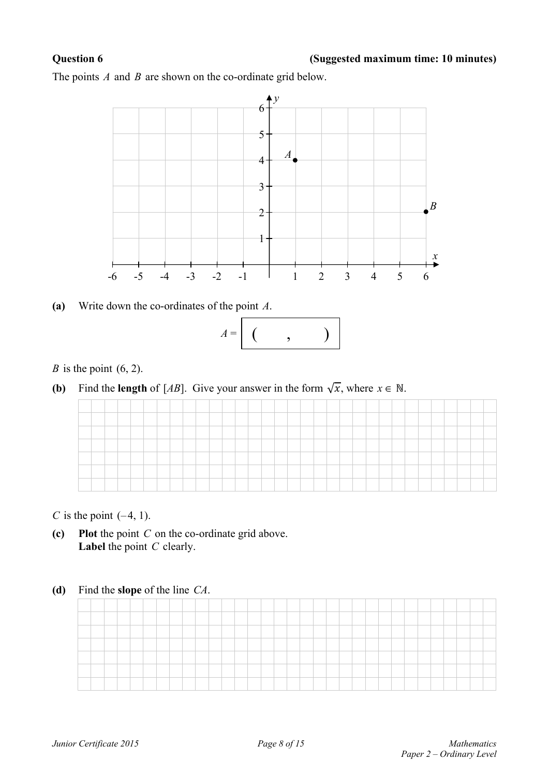### **Question 6 (Suggested maximum time: 10 minutes)**

The points *A* and *B* are shown on the co-ordinate grid below.



**(a)** Write down the co-ordinates of the point *A*.



*B* is the point  $(6, 2)$ .

**(b)** Find the **length** of [*AB*]. Give your answer in the form  $\sqrt{x}$ , where  $x \in \mathbb{N}$ .

*C* is the point  $(-4, 1)$ .

- **(c) Plot** the point *C* on the co-ordinate grid above. **Label** the point *C* clearly.
- **(d)** Find the **slope** of the line *CA*.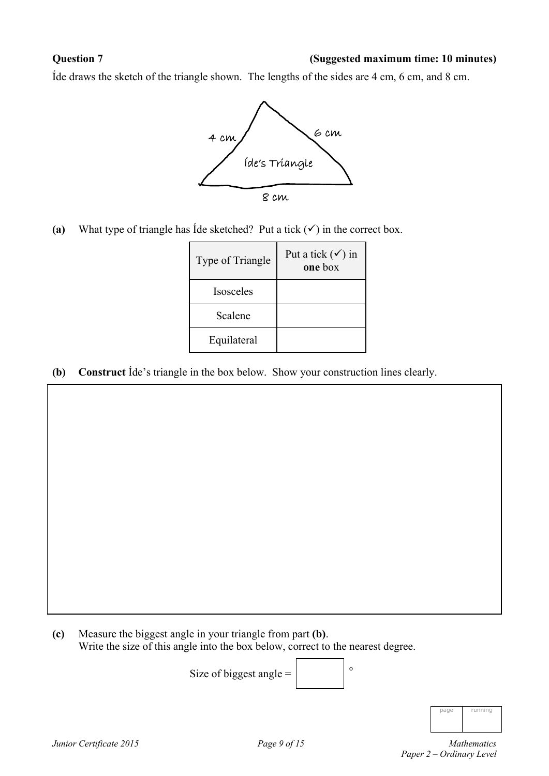#### **Question 7 (Suggested maximum time: 10 minutes)**

Íde draws the sketch of the triangle shown. The lengths of the sides are 4 cm, 6 cm, and 8 cm.



(a) What type of triangle has Ide sketched? Put a tick  $(\checkmark)$  in the correct box.

| Type of Triangle | Put a tick $(\checkmark)$ in<br>one box |
|------------------|-----------------------------------------|
| <b>Isosceles</b> |                                         |
| Scalene          |                                         |
| Equilateral      |                                         |

**(b) Construct** Íde's triangle in the box below. Show your construction lines clearly.

**(c)** Measure the biggest angle in your triangle from part **(b)**. Write the size of this angle into the box below, correct to the nearest degree.

```
Size of biggest angle = \begin{bmatrix} \circ \end{bmatrix}
```

| <b>STA</b> | unnın.<br>I |
|------------|-------------|
|            |             |

*Junior Certificate 2015 Page 9 of 15 Mathematics Paper 2 – Ordinary Level*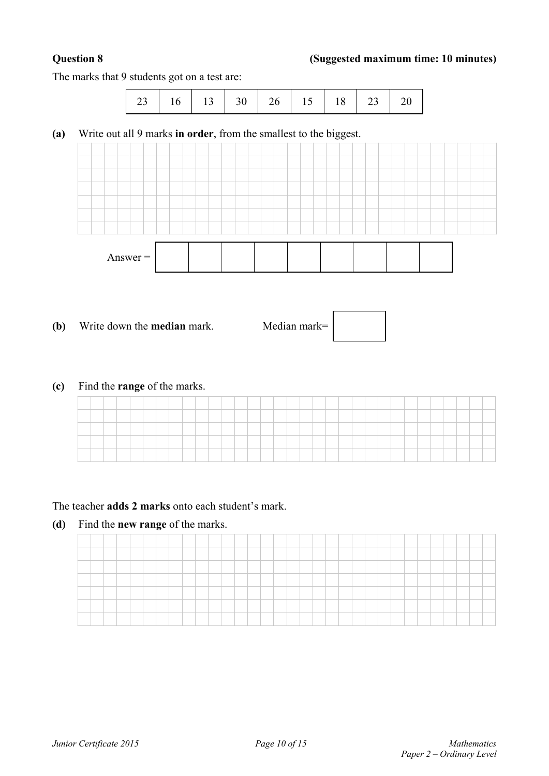### **Question 8 (Suggested maximum time: 10 minutes)**

The marks that 9 students got on a test are:

| 23   16   13   30   26   15   18   23   20 |  |  |  |  |  |  |  |  |
|--------------------------------------------|--|--|--|--|--|--|--|--|
|--------------------------------------------|--|--|--|--|--|--|--|--|

**(a)** Write out all 9 marks **in order**, from the smallest to the biggest.



**(b)** Write down the **median** mark. Median mark=

**(c)** Find the **range** of the marks.

| ___ |  |  |  |  |  |  |  |  |  |  |  |  |  |  |  |  |
|-----|--|--|--|--|--|--|--|--|--|--|--|--|--|--|--|--|

### The teacher **adds 2 marks** onto each student's mark.

**(d)** Find the **new range** of the marks.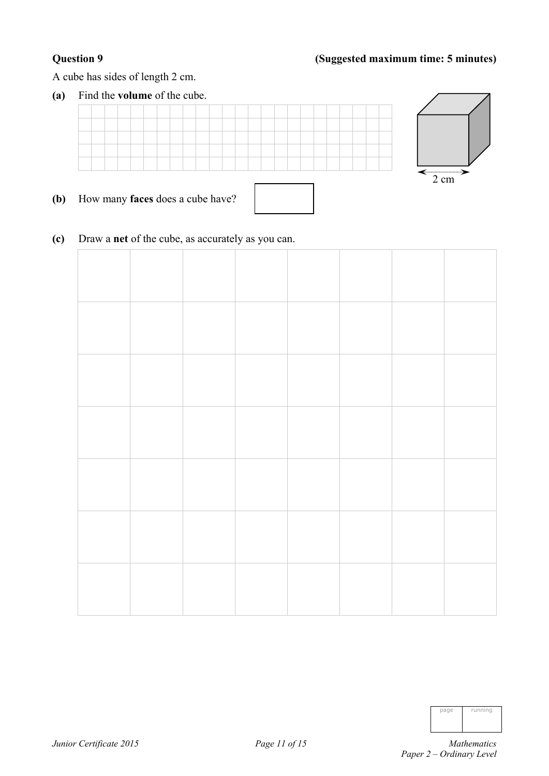### **Question 9 (Suggested maximum time: 5 minutes)**

A cube has sides of length 2 cm.

**(a)** Find the **volume** of the cube.



- **(b)** How many **faces** does a cube have?
- **(c)** Draw a **net** of the cube, as accurately as you can.

| nane | running |
|------|---------|
|      |         |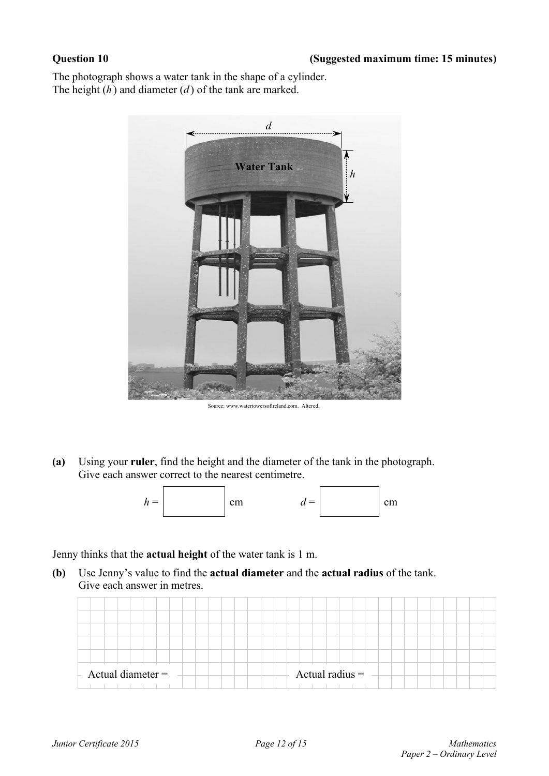The photograph shows a water tank in the shape of a cylinder. The height (*h* ) and diameter (*d* ) of the tank are marked.



Source: www.watertowersofireland.com. Altered.

**(a)** Using your **ruler**, find the height and the diameter of the tank in the photograph. Give each answer correct to the nearest centimetre.



Jenny thinks that the **actual height** of the water tank is 1 m.

**(b)** Use Jenny's value to find the **actual diameter** and the **actual radius** of the tank. Give each answer in metres.

| Actual diameter $=$ | Actual radius $=$ |
|---------------------|-------------------|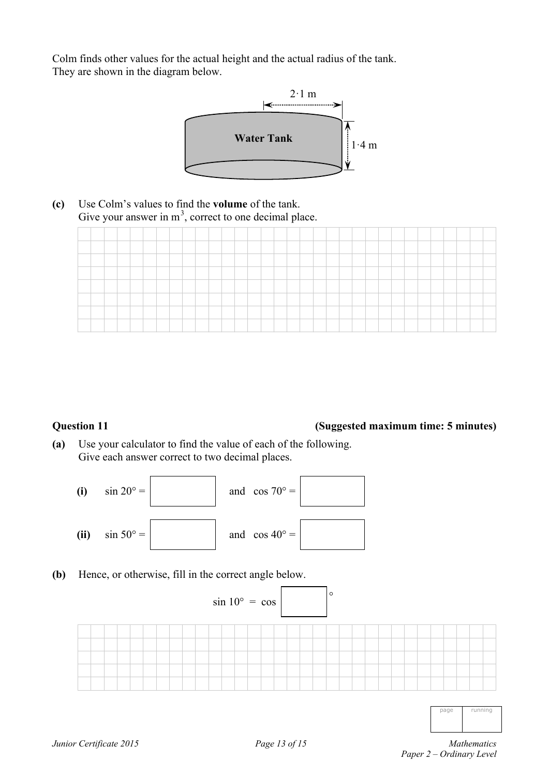Colm finds other values for the actual height and the actual radius of the tank. They are shown in the diagram below.



**(c)** Use Colm's values to find the **volume** of the tank. Give your answer in  $m<sup>3</sup>$ , correct to one decimal place.

| _____                              |  |  |  |      |  |  |  |  |  |  |  |  |  |  |  |  |
|------------------------------------|--|--|--|------|--|--|--|--|--|--|--|--|--|--|--|--|
| -                                  |  |  |  |      |  |  |  |  |  |  |  |  |  |  |  |  |
|                                    |  |  |  |      |  |  |  |  |  |  |  |  |  |  |  |  |
|                                    |  |  |  |      |  |  |  |  |  |  |  |  |  |  |  |  |
| _<br><b><i><u>Property</u></i></b> |  |  |  | ____ |  |  |  |  |  |  |  |  |  |  |  |  |
|                                    |  |  |  |      |  |  |  |  |  |  |  |  |  |  |  |  |
|                                    |  |  |  |      |  |  |  |  |  |  |  |  |  |  |  |  |

#### **Question 11 (Suggested maximum time: 5 minutes)**

**(a)** Use your calculator to find the value of each of the following. Give each answer correct to two decimal places.



**(b)** Hence, or otherwise, fill in the correct angle below.

| $\sin 10^{\circ} = \cos$ |  |  |  |  |  |  |  |  |  |  |  |  |  |  |  | $\circ$ |  |  |  |  |  |  |
|--------------------------|--|--|--|--|--|--|--|--|--|--|--|--|--|--|--|---------|--|--|--|--|--|--|
|                          |  |  |  |  |  |  |  |  |  |  |  |  |  |  |  |         |  |  |  |  |  |  |
|                          |  |  |  |  |  |  |  |  |  |  |  |  |  |  |  |         |  |  |  |  |  |  |
|                          |  |  |  |  |  |  |  |  |  |  |  |  |  |  |  |         |  |  |  |  |  |  |
|                          |  |  |  |  |  |  |  |  |  |  |  |  |  |  |  |         |  |  |  |  |  |  |
|                          |  |  |  |  |  |  |  |  |  |  |  |  |  |  |  |         |  |  |  |  |  |  |

page running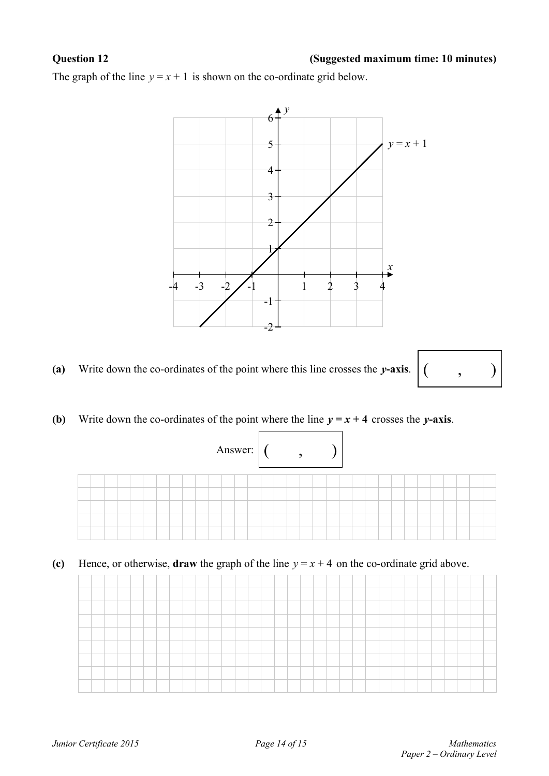#### **Question 12 (Suggested maximum time: 10 minutes)**

The graph of the line  $y = x + 1$  is shown on the co-ordinate grid below.



### (a) Write down the co-ordinates of the point where this line crosses the *y*-axis.  $($ ,  $)$



**(b)** Write down the co-ordinates of the point where the line  $y = x + 4$  crosses the *y*-axis.



**(c)** Hence, or otherwise, **draw** the graph of the line  $y = x + 4$  on the co-ordinate grid above.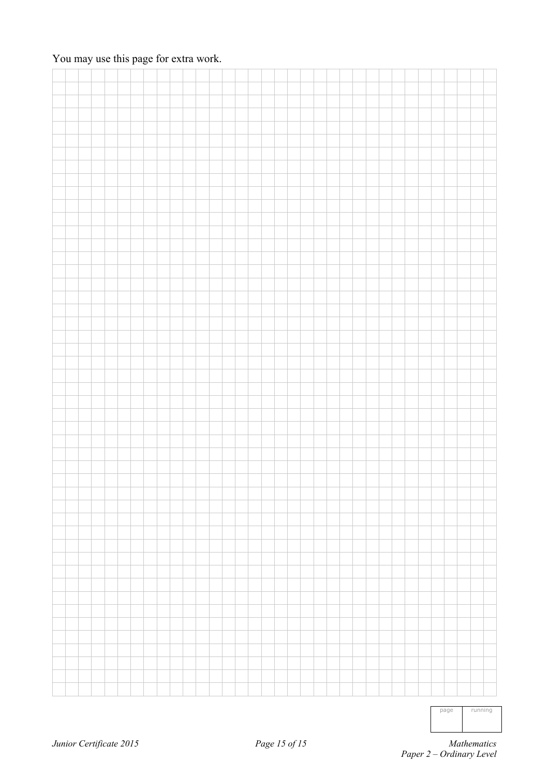### You may use this page for extra work.

page running